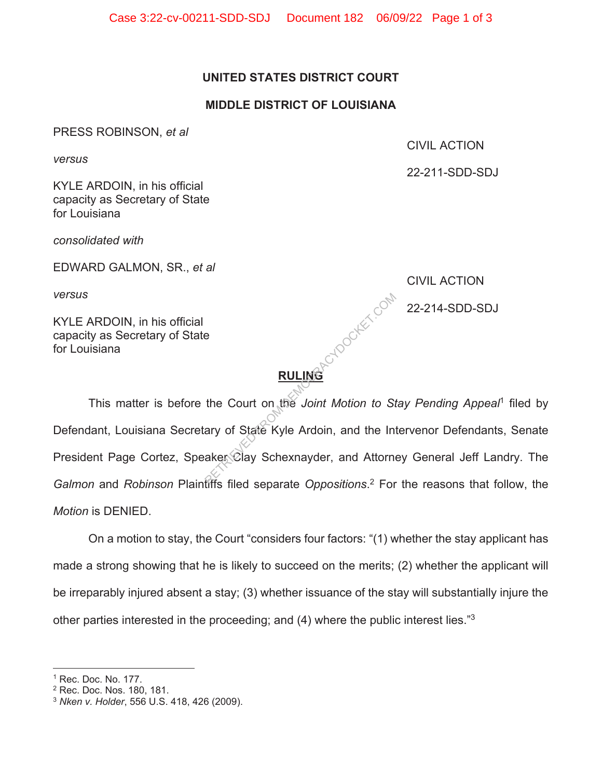# **UNITED STATES DISTRICT COURT**

# **MIDDLE DISTRICT OF LOUISIANA**

PRESS ROBINSON, *et al* 

*versus* 

KYLE ARDOIN, in his official capacity as Secretary of State for Louisiana

*consolidated with* 

EDWARD GALMON, SR., *et al* 

*versus* 

KYLE ARDOIN, in his official capacity as Secretary of State for Louisiana

22-211-SDD-SDJ

CIVIL ACTION

CIVIL ACTION

 $\odot^{\heartsuit}$  22-214-SDD-SDJ

**RULING** 

 This matter is before the Court on the *Joint Motion to Stay Pending Appeal*1 filed by Defendant, Louisiana Secretary of State Kyle Ardoin, and the Intervenor Defendants, Senate President Page Cortez, Speaker Clay Schexnayder, and Attorney General Jeff Landry. The *Galmon* and *Robinson* Plaintiffs filed separate *Oppositions*. 2 For the reasons that follow, the *Motion* is DENIED. RETRIEVED FROM DEMOCRACY COMPONENT REPORT OF STATE COUNTRIES TO SALE And A Attorney Schemanager, and Attorney<br>Between Clay Schemayder, and Attorney<br>After filed separate Oppositions 2 For

On a motion to stay, the Court "considers four factors: "(1) whether the stay applicant has made a strong showing that he is likely to succeed on the merits; (2) whether the applicant will be irreparably injured absent a stay; (3) whether issuance of the stay will substantially injure the other parties interested in the proceeding; and (4) where the public interest lies."3

<sup>&</sup>lt;sup>1</sup> Rec. Doc. No. 177.

<sup>2</sup> Rec. Doc. Nos. 180, 181.

<sup>3</sup> *Nken v. Holder*, 556 U.S. 418, 426 (2009).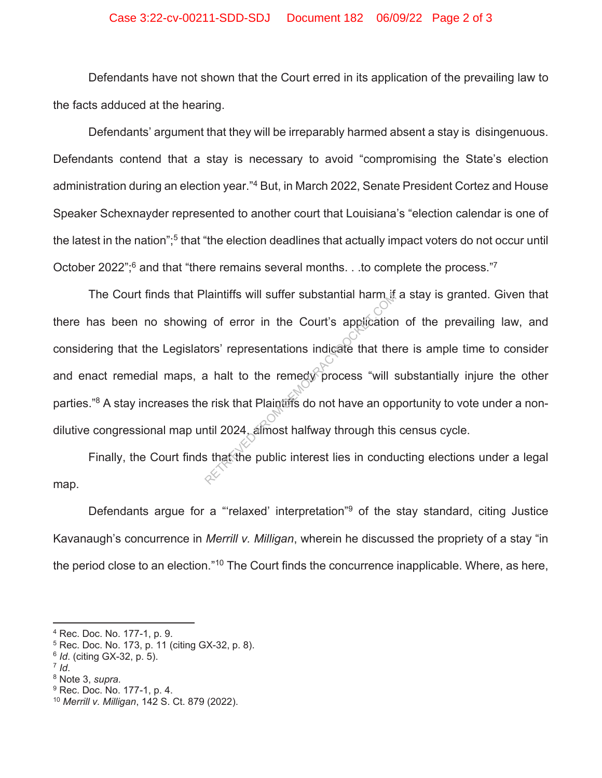### Case 3:22-cv-00211-SDD-SDJ Document 182 06/09/22 Page 2 of 3

Defendants have not shown that the Court erred in its application of the prevailing law to the facts adduced at the hearing.

Defendants' argument that they will be irreparably harmed absent a stay is disingenuous. Defendants contend that a stay is necessary to avoid "compromising the State's election administration during an election year."4 But, in March 2022, Senate President Cortez and House Speaker Schexnayder represented to another court that Louisiana's "election calendar is one of the latest in the nation";<sup>5</sup> that "the election deadlines that actually impact voters do not occur until October 2022";<sup>6</sup> and that "there remains several months. . .to complete the process."7

The Court finds that Plaintiffs will suffer substantial harm if a stay is granted. Given that there has been no showing of error in the Court's application of the prevailing law, and considering that the Legislators' representations indicate that there is ample time to consider and enact remedial maps, a halt to the remedy process "will substantially injure the other parties."<sup>8</sup> A stay increases the risk that Plaintiffs do not have an opportunity to vote under a nondilutive congressional map until 2024, almost halfway through this census cycle. relations will surfer substantial narm it<br>a y of error in the Court's application<br>ors' representations indicate that the<br>a halt to the remedy process "will s<br>e risk that Plaintiffs do not have an op<br>ntil 2024, almost halfw

Finally, the Court finds that the public interest lies in conducting elections under a legal map.

Defendants argue for a "relaxed' interpretation"<sup>9</sup> of the stay standard, citing Justice Kavanaugh's concurrence in *Merrill v. Milligan*, wherein he discussed the propriety of a stay "in the period close to an election."<sup>10</sup> The Court finds the concurrence inapplicable. Where, as here,

- 5 Rec. Doc. No. 173, p. 11 (citing GX-32, p. 8).
- <sup>6</sup> *Id*. (citing GX-32, p. 5).
- 

<sup>9</sup> Rec. Doc. No. 177-1, p. 4.

<sup>4</sup> Rec. Doc. No. 177-1, p. 9.

<sup>&</sup>lt;sup>7</sup> *Id.*<br><sup>8</sup> Note 3, *supra.* 

<sup>10</sup> *Merrill v. Milligan*, 142 S. Ct. 879 (2022).